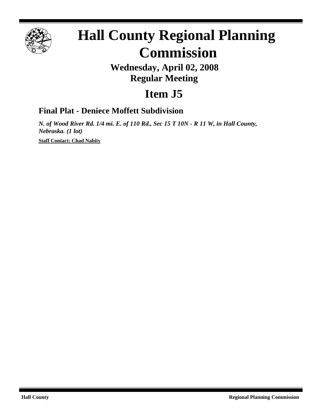

# **Hall County Regional Planning Commission**

## **Wednesday, April 02, 2008 Regular Meeting**

# **Item J5**

### **Final Plat - Deniece Moffett Subdivision**

*N. of Wood River Rd. 1/4 mi. E. of 110 Rd., Sec 15 T 10N - R 11 W, in Hall County, Nebraska. (1 lot)*

**Staff Contact: Chad Nabity**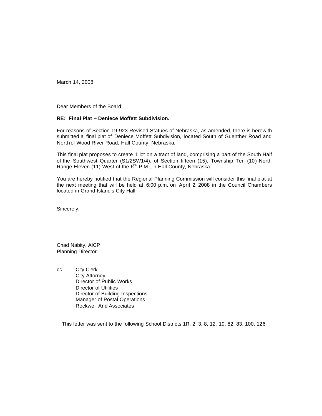March 14, 2008

Dear Members of the Board:

#### **RE: Final Plat – Deniece Moffett Subdivision.**

For reasons of Section 19-923 Revised Statues of Nebraska, as amended, there is herewith submitted a final plat of Deniece Moffett Subdivision, located South of Guenther Road and North of Wood River Road, Hall County, Nebraska.

This final plat proposes to create 1 lot on a tract of land, comprising a part of the South Half of the Southwest Quarter (S1/2SW1/4), of Section fifteen (15), Township Ten (10) North Range Eleven (11) West of the 6<sup>th.</sup> P.M., in Hall County, Nebraska.

You are hereby notified that the Regional Planning Commission will consider this final plat at the next meeting that will be held at 6:00 p.m. on April 2, 2008 in the Council Chambers located in Grand Island's City Hall.

Sincerely,

Chad Nabity, AICP Planning Director

cc: City Clerk City Attorney Director of Public Works Director of Utilities Director of Building Inspections Manager of Postal Operations Rockwell And Associates

This letter was sent to the following School Districts 1R, 2, 3, 8, 12, 19, 82, 83, 100, 126.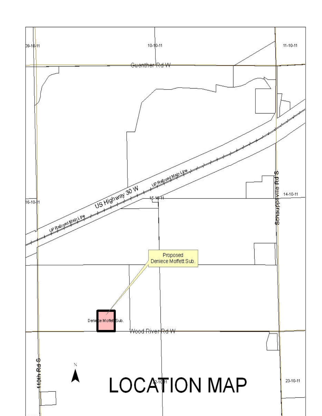